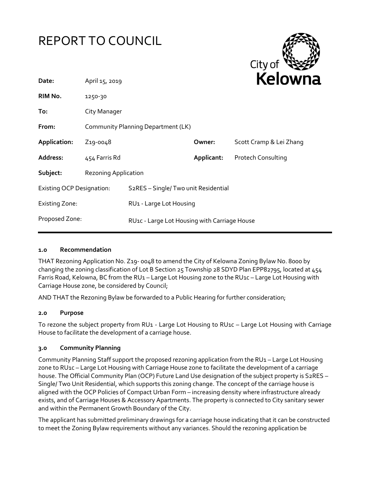



| Date:                            | April 15, 2019                     |                                              |            | <b>Neidwill</b>           |
|----------------------------------|------------------------------------|----------------------------------------------|------------|---------------------------|
| RIM No.                          | 1250-30                            |                                              |            |                           |
| To:                              | City Manager                       |                                              |            |                           |
| From:                            | Community Planning Department (LK) |                                              |            |                           |
| Application:                     | Z <sub>19</sub> -0048              |                                              | Owner:     | Scott Cramp & Lei Zhang   |
| Address:                         | 454 Farris Rd                      |                                              | Applicant: | <b>Protech Consulting</b> |
| Subject:                         | <b>Rezoning Application</b>        |                                              |            |                           |
| <b>Existing OCP Designation:</b> |                                    | S2RES - Single/ Two unit Residential         |            |                           |
| <b>Existing Zone:</b>            |                                    | RU1 - Large Lot Housing                      |            |                           |
| Proposed Zone:                   |                                    | RU1c - Large Lot Housing with Carriage House |            |                           |
|                                  |                                    |                                              |            |                           |

#### **1.0 Recommendation**

THAT Rezoning Application No. Z19- 0048 to amend the City of Kelowna Zoning Bylaw No. 8000 by changing the zoning classification of Lot B Section 25 Township 28 SDYD Plan EPP82795, located at 454 Farris Road, Kelowna, BC from the RU1 – Large Lot Housing zone to the RU1c – Large Lot Housing with Carriage House zone, be considered by Council;

AND THAT the Rezoning Bylaw be forwarded to a Public Hearing for further consideration;

#### **2.0 Purpose**

To rezone the subject property from RU1 - Large Lot Housing to RU1c – Large Lot Housing with Carriage House to facilitate the development of a carriage house.

#### **3.0 Community Planning**

Community Planning Staff support the proposed rezoning application from the RU1 – Large Lot Housing zone to RU1c – Large Lot Housing with Carriage House zone to facilitate the development of a carriage house. The Official Community Plan (OCP) Future Land Use designation of the subject property is S2RES -Single/ Two Unit Residential, which supports this zoning change. The concept of the carriage house is aligned with the OCP Policies of Compact Urban Form – increasing density where infrastructure already exists, and of Carriage Houses & Accessory Apartments. The property is connected to City sanitary sewer and within the Permanent Growth Boundary of the City.

The applicant has submitted preliminary drawings for a carriage house indicating that it can be constructed to meet the Zoning Bylaw requirements without any variances. Should the rezoning application be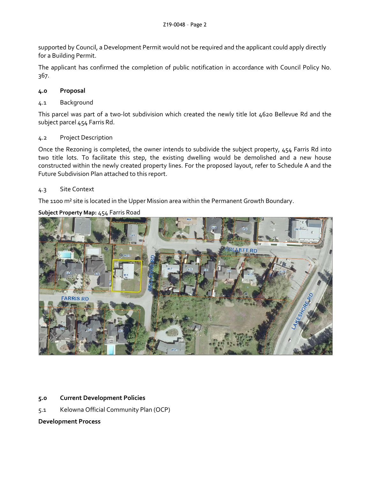supported by Council, a Development Permit would not be required and the applicant could apply directly for a Building Permit.

The applicant has confirmed the completion of public notification in accordance with Council Policy No. 367.

### **4.0 Proposal**

### 4.1 Background

This parcel was part of a two-lot subdivision which created the newly title lot 4620 Bellevue Rd and the subject parcel 454 Farris Rd.

### 4.2 Project Description

Once the Rezoning is completed, the owner intends to subdivide the subject property, 454 Farris Rd into two title lots. To facilitate this step, the existing dwelling would be demolished and a new house constructed within the newly created property lines. For the proposed layout, refer to Schedule A and the Future Subdivision Plan attached to this report.

## 4.3 Site Context

The 1100 m<sup>2</sup> site is located in the Upper Mission area within the Permanent Growth Boundary.

## **Subject Property Map:** 454 Farris Road



# **5.0 Current Development Policies**

5.1 Kelowna Official Community Plan (OCP)

# **Development Process**